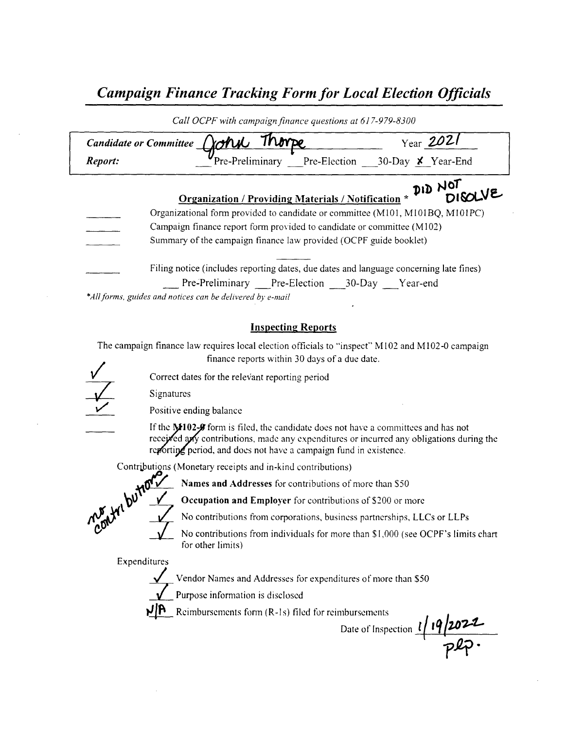## Campaign Finance Tracking Form for Local Election Officials

|                                                                        | Year 2021<br>Thompe<br>Candidate or Committee (Corv                                    |  |  |  |
|------------------------------------------------------------------------|----------------------------------------------------------------------------------------|--|--|--|
| Report:                                                                | Pre-Preliminary Pre-Election 30-Day $\times$ Year-End                                  |  |  |  |
|                                                                        | Organization / Providing Materials / Notification * DISOLVE                            |  |  |  |
|                                                                        | Organizational form provided to candidate or committee (M101, M101BQ, M101PC)          |  |  |  |
| Campaign finance report form provided to candidate or committee (M102) |                                                                                        |  |  |  |
|                                                                        | Summary of the campaign finance law provided (OCPF guide booklet)                      |  |  |  |
|                                                                        |                                                                                        |  |  |  |
|                                                                        | Filing notice (includes reporting dates, due dates and language concerning late fines) |  |  |  |

#### Inspecting Reports

The campaign finance law requires local election officials to "inspect" M102 and M102-0 campaign finance reports within 30 days of <sup>a</sup> due date. 1

1/

Correct dates for the relevant reporting period

Signatures



Positive ending balance

If the  $M102-9$  form is filed, the candidate does not have a committees and has not receited any contributions, made any expenditures or incurred any obligations during the reporting period, and does not have a campaign fund in existence



Names and Addresses for contributions of more than \$50

**Occupation and Employer** for contributions of \$200 or more

No contributions from corporations, business partnerships, LLCs or LLPs

No contributions from individuals for more than \$1,000 (see OCPF's limits chart for other limits)

Expenditures

Vendor Names and Addresses for expenditures of more than \$50

Purpose information is disclosed

 $1/10$  Reimbursements form (R-1s) filed for reimbursements

Date of Inspection  $\frac{l}{19/207}$  $\mathsf{L}^2$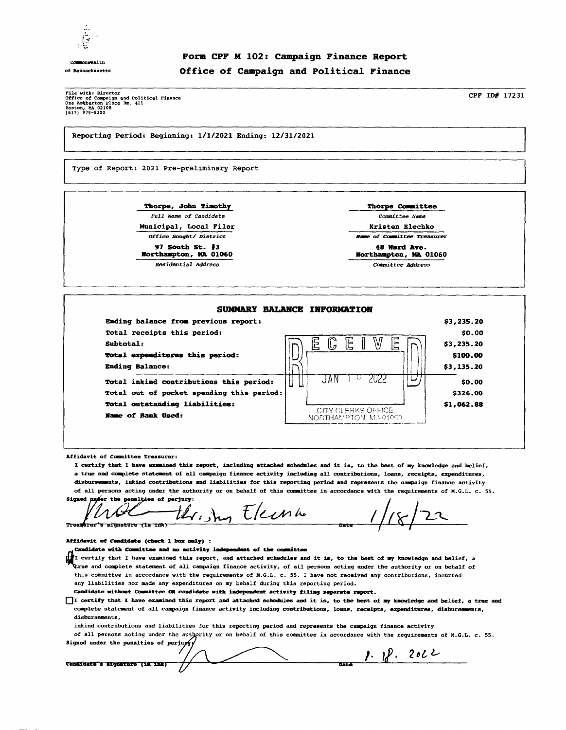

Commonwealth

### Form CPF <sup>M</sup> 102: Campaign Finance Report of Massachusetts Office of Campaign and Political Finance

*Pile with: Director*<br>Office of Campaign and Political Finan<br>One Ashburton Place Rm. 411<br>Boston, MA 02108<br>(617) 979-8300

CPF ID# 17231

Reporting Period: Beginning: 1/ 1/ 2021 Ending: 12/ 31/ <sup>2021</sup>

Type of Report: 2021 Pre-preliminary Report

Thorpe, John Timothy Thorpe Committee

Municipal, Local Filer **Kristen Elechko** 

97 South St. # 3 48 Nerd Ave. Northampton, MA 01060

Full Name of Candidate Committee Name

Office Sought/ District Game of Committee Treasurer

Residential Address Committee Address



Affidavit of Committee Treasurer:

I certify that I have examined this report, including attached schedules and it is, to the best of my knowledge and belief, <sup>a</sup> true and complete statement of all campaign finance activity including all contributions, loans, receipts, expenditures, disbursements, inkind contributions and liabilities for this reporting period and represents the campaign finance activity of all persons acting under the authority or on behalf of this committee in accordance with the requirements of M. G. L. c. 55.

 $E$ lecente  $1/18/22$ Signed under the penalties of perjury:<br> $\iiint_{A} \left( \frac{1}{2} \right)$  $\left($   $\mathcal{W}$ 

Affidavit of Candidate (check 1 box only) :

Candidate with Committee and no activity independent of the committee

I certify that I have examined this report, and attached schedules and it is, to the best of my knowledge and belief, a rue and complete statement of all campaign finance activity, of all persons acting under the authority or on behalf of this committee in accordance with the requirements of M.G.L. c. 55. I have not received any contributions, incurred any liabilities nor made any expenditures on my behalf during this reporting period.

Candidate without Committee OR candidate with independent activity filing separate report.

IDI certify that I have examined this report and attached schedules and it is, to the best of my knowledge and belief, a true and complete statement of all campaign finance activity including contributions, loans, receipts, expenditures, disbursements, disbursements,

inkind contributions and liabilities for this reporting period and represents the campaign finance activity

of all persons acting under the authority or on behalf of this committee in accordance with the requirements of M.G.L. c. 55. Signed under the penalties of perjum

Candidate's signature (in ink

 $1.18.2022$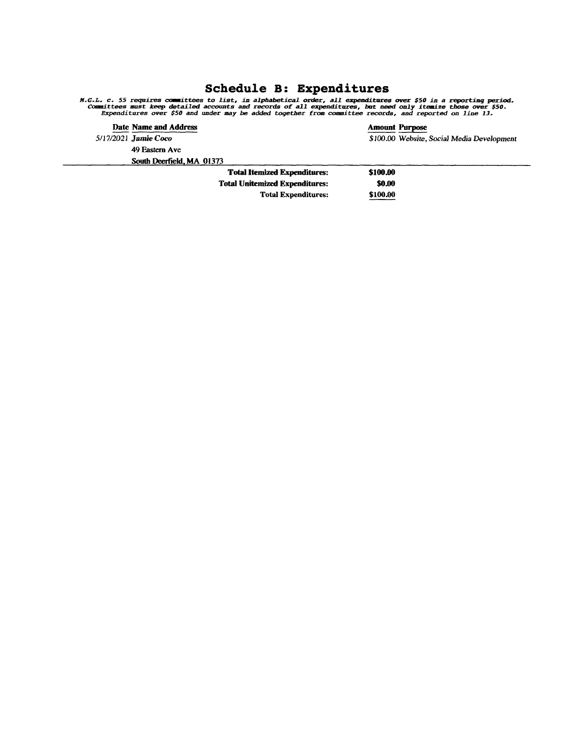## Schedule B: Expenditures

M.G.L. c. 55 requires commuttees to list, in alphabetical order, all expenditures over \$50 in a reporting period<br>Commuttees must keep detailed accounts and records of all expenditures, but need only itemize those over \$50.

| Date Name and Address     |                                     |          | <b>Amount Purpose</b>                      |
|---------------------------|-------------------------------------|----------|--------------------------------------------|
| 5/17/2021 Jamie Coco      |                                     |          | \$100.00 Website, Social Media Development |
| 49 Eastern Ave            |                                     |          |                                            |
| South Deerfield, MA 01373 |                                     |          |                                            |
|                           | <b>Total Itemized Expenditures:</b> | \$100.00 |                                            |

Total Unitemized Expenditures: \$0.00 Total Expenditures: \$100.00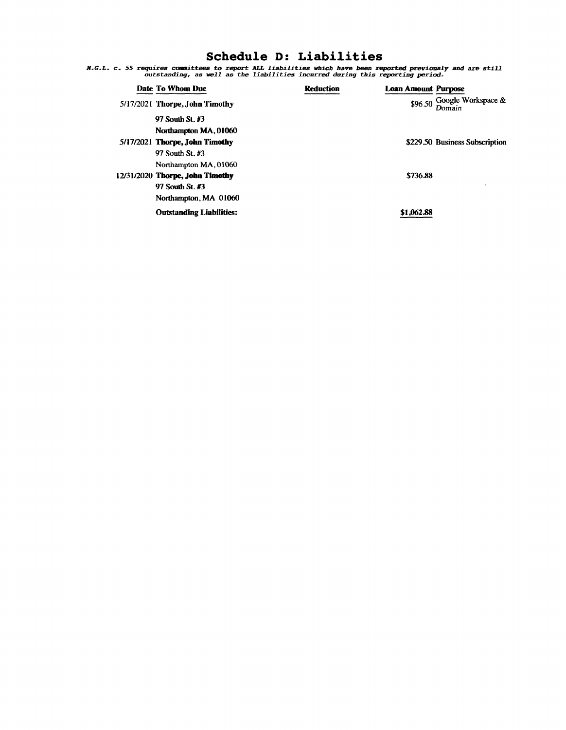### Schedule D: Liabilities

A. G. L. c. 55 requires committees to report ALL liabilities which have been reported previously and are still outstanding, as well as the liabilities incurred during this reporting period.

| Date To Whom Due                 | <b>Reduction</b> | <b>Loan Amount Purpose</b> |                                      |
|----------------------------------|------------------|----------------------------|--------------------------------------|
| $5/17/2021$ Thorpe, John Timothy |                  |                            | \$96.50 Google Workspace &<br>Domain |
| 97 South St. #3                  |                  |                            |                                      |
| Northampton MA, 01060            |                  |                            |                                      |
| 5/17/2021 Thorpe, John Timothy   |                  |                            | \$229.50 Business Subscription       |
| 97 South St. #3                  |                  |                            |                                      |
| Northampton MA, 01060            |                  |                            |                                      |
| 12/31/2020 Thorpe, John Timothy  |                  | \$736.88                   |                                      |
| 97 South St. #3                  |                  |                            |                                      |
| Northampton, MA 01060            |                  |                            |                                      |
| <b>Outstanding Liabilities:</b>  |                  | \$1,062.88                 |                                      |